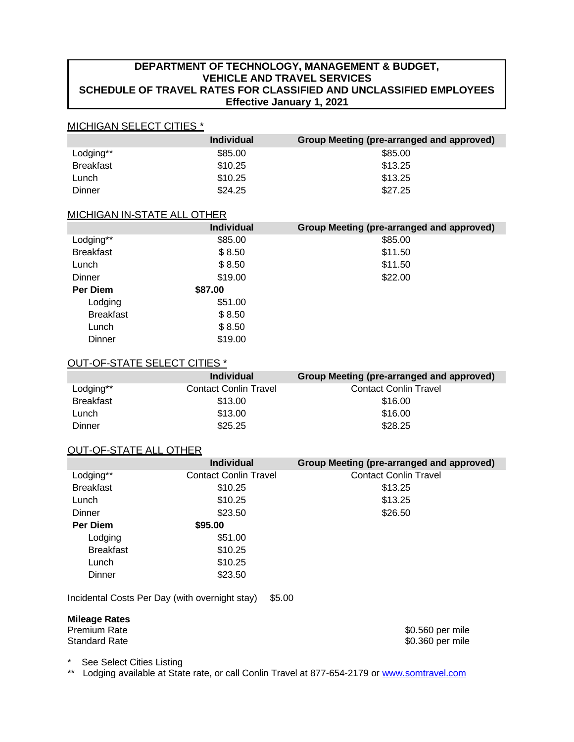# **DEPARTMENT OF TECHNOLOGY, MANAGEMENT & BUDGET, VEHICLE AND TRAVEL SERVICES SCHEDULE OF TRAVEL RATES FOR CLASSIFIED AND UNCLASSIFIED EMPLOYEES Effective January 1, 2021**

## MICHIGAN SELECT CITIES \*

|                  | <b>Individual</b> | Group Meeting (pre-arranged and approved) |
|------------------|-------------------|-------------------------------------------|
| Lodging**        | \$85.00           | \$85.00                                   |
| <b>Breakfast</b> | \$10.25           | \$13.25                                   |
| Lunch            | \$10.25           | \$13.25                                   |
| Dinner           | \$24.25           | \$27.25                                   |

## MICHIGAN IN-STATE ALL OTHER

|                  | <b>Individual</b> | Group Meeting (pre-arranged and approved) |
|------------------|-------------------|-------------------------------------------|
| Lodging**        | \$85.00           | \$85.00                                   |
| <b>Breakfast</b> | \$8.50            | \$11.50                                   |
| Lunch            | \$8.50            | \$11.50                                   |
| Dinner           | \$19.00           | \$22.00                                   |
| Per Diem         | \$87.00           |                                           |
| Lodging          | \$51.00           |                                           |
| <b>Breakfast</b> | \$8.50            |                                           |
| Lunch            | \$8.50            |                                           |
| Dinner           | \$19.00           |                                           |

# OUT-OF-STATE SELECT CITIES \*

|                  | <b>Individual</b>            | Group Meeting (pre-arranged and approved) |
|------------------|------------------------------|-------------------------------------------|
| Lodging**        | <b>Contact Conlin Travel</b> | <b>Contact Conlin Travel</b>              |
| <b>Breakfast</b> | \$13.00                      | \$16.00                                   |
| Lunch            | \$13.00                      | \$16.00                                   |
| Dinner           | \$25.25                      | \$28.25                                   |

# OUT-OF-STATE ALL OTHER

|                  | <b>Individual</b>            | Group Meeting (pre-arranged and approved) |
|------------------|------------------------------|-------------------------------------------|
| Lodging**        | <b>Contact Conlin Travel</b> | <b>Contact Conlin Travel</b>              |
| <b>Breakfast</b> | \$10.25                      | \$13.25                                   |
| Lunch            | \$10.25                      | \$13.25                                   |
| <b>Dinner</b>    | \$23.50                      | \$26.50                                   |
| <b>Per Diem</b>  | \$95.00                      |                                           |
| Lodging          | \$51.00                      |                                           |
| <b>Breakfast</b> | \$10.25                      |                                           |
| Lunch            | \$10.25                      |                                           |
| Dinner           | \$23.50                      |                                           |

Incidental Costs Per Day (with overnight stay) \$5.00

# **Mileage Rates**

Premium Rate \$0.560 per mile \$0.360 per mile

See Select Cities Listing

\*\* Lodging available at State rate, or call Conlin Travel at 877-654-2179 or [www.somtravel.com](http://www.somtravel.com/)